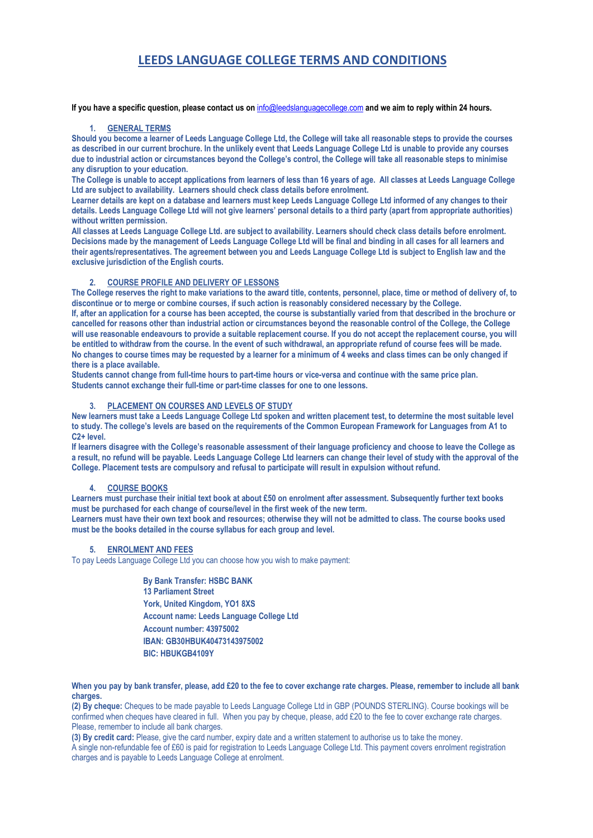# **LEEDS LANGUAGE COLLEGE TERMS AND CONDITIONS**

**If you have a specific question, please contact us on** [info@leedslanguagecollege.com](file:///C:/Documents%20and%20Settings/Helen/My%20Documents/Nimbox%20Vault/Administration/2017%20COLLEGE%20BROCHURES%20AND%20FORMS/2017%20BROCHURES%20AND%20WELCOME%20PACKS/2017%20BROCHURES%20STANDARD%20VERSION/info@leedslanguagecollege.com) **and we aim to reply within 24 hours.** 

### **1. GENERAL TERMS**

Should you become a learner of Leeds Language College Ltd, the College will take all reasonable steps to provide the courses **as described in our current brochure. In the unlikely event that Leeds Language College Ltd is unable to provide any courses due to industrial action or circumstances beyond the College's control, the College will take all reasonable steps to minimise any disruption to your education.** 

**The College is unable to accept applications from learners of less than 16 years of age. All classes at Leeds Language College Ltd are subject to availability. Learners should check class details before enrolment.** 

**Learner details are kept on a database and learners must keep Leeds Language College Ltd informed of any changes to their details. Leeds Language College Ltd will not give learners' personal details to a third party (apart from appropriate authorities) without written permission.** 

**All classes at Leeds Language College Ltd. are subject to availability. Learners should check class details before enrolment. Decisions made by the management of Leeds Language College Ltd will be final and binding in all cases for all learners and their agents/representatives. The agreement between you and Leeds Language College Ltd is subject to English law and the exclusive jurisdiction of the English courts.**

#### **2. COURSE PROFILE AND DELIVERY OF LESSONS**

**The College reserves the right to make variations to the award title, contents, personnel, place, time or method of delivery of, to discontinue or to merge or combine courses, if such action is reasonably considered necessary by the College. If, after an application for a course has been accepted, the course is substantially varied from that described in the brochure or cancelled for reasons other than industrial action or circumstances beyond the reasonable control of the College, the College will use reasonable endeavours to provide a suitable replacement course. If you do not accept the replacement course, you will be entitled to withdraw from the course. In the event of such withdrawal, an appropriate refund of course fees will be made. No changes to course times may be requested by a learner for a minimum of 4 weeks and class times can be only changed if there is a place available.** 

**Students cannot change from full-time hours to part-time hours or vice-versa and continue with the same price plan. Students cannot exchange their full-time or part-time classes for one to one lessons.**

## **3. PLACEMENT ON COURSES AND LEVELS OF STUDY**

**New learners must take a Leeds Language College Ltd spoken and written placement test, to determine the most suitable level to study. The college's levels are based on the requirements of the Common European Framework for Languages from A1 to C2+ level.** 

**If learners disagree with the College's reasonable assessment of their language proficiency and choose to leave the College as a result, no refund will be payable. Leeds Language College Ltd learners can change their level of study with the approval of the College. Placement tests are compulsory and refusal to participate will result in expulsion without refund.**

## **4. COURSE BOOKS**

**Learners must purchase their initial text book at about £50 on enrolment after assessment. Subsequently further text books must be purchased for each change of course/level in the first week of the new term.**

**Learners must have their own text book and resources; otherwise they will not be admitted to class. The course books used must be the books detailed in the course syllabus for each group and level.** 

## **5. ENROLMENT AND FEES**

To pay Leeds Language College Ltd you can choose how you wish to make payment:

 **By Bank Transfer: HSBC BANK**  • **13 Parliament Street**  • **York, United Kingdom, YO1 8XS**  • **Account name: Leeds Language College Ltd**  • **Account number: 43975002**  • **IBAN: GB30HBUK40473143975002**  • **BIC: HBUKGB4109Y**

**When you pay by bank transfer, please, add £20 to the fee to cover exchange rate charges. Please, remember to include all bank charges.** 

**(2) By cheque:** Cheques to be made payable to Leeds Language College Ltd in GBP (POUNDS STERLING). Course bookings will be confirmed when cheques have cleared in full. When you pay by cheque, please, add £20 to the fee to cover exchange rate charges. Please, remember to include all bank charges.

**(3) By credit card:** Please, give the card number, expiry date and a written statement to authorise us to take the money.

A single non-refundable fee of £60 is paid for registration to Leeds Language College Ltd. This payment covers enrolment registration charges and is payable to Leeds Language College at enrolment.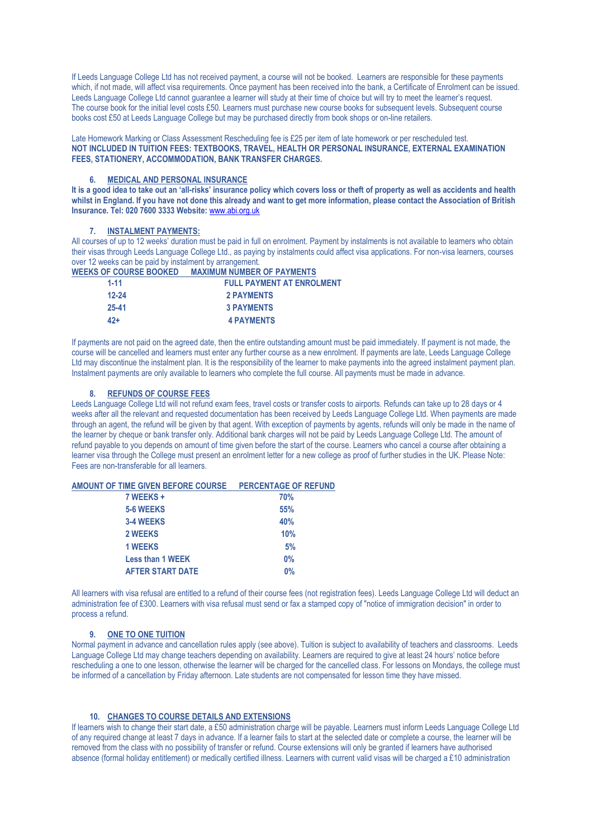If Leeds Language College Ltd has not received payment, a course will not be booked. Learners are responsible for these payments which, if not made, will affect visa requirements. Once payment has been received into the bank, a Certificate of Enrolment can be issued. Leeds Language College Ltd cannot guarantee a learner will study at their time of choice but will try to meet the learner's request. The course book for the initial level costs £50. Learners must purchase new course books for subsequent levels. Subsequent course books cost £50 at Leeds Language College but may be purchased directly from book shops or on-line retailers.

Late Homework Marking or Class Assessment Rescheduling fee is £25 per item of late homework or per rescheduled test. **NOT INCLUDED IN TUITION FEES: TEXTBOOKS, TRAVEL, HEALTH OR PERSONAL INSURANCE, EXTERNAL EXAMINATION FEES, STATIONERY, ACCOMMODATION, BANK TRANSFER CHARGES.** 

### **6. MEDICAL AND PERSONAL INSURANCE**

**It is a good idea to take out an 'all-risks' insurance policy which covers loss or theft of property as well as accidents and health whilst in England. If you have not done this already and want to get more information, please contact the Association of British Insurance. Tel: 020 7600 3333 Website:** [www.abi.org.uk](http://www.abi.org.uk/)

#### **7. INSTALMENT PAYMENTS:**

All courses of up to 12 weeks' duration must be paid in full on enrolment. Payment by instalments is not available to learners who obtain their visas through Leeds Language College Ltd., as paying by instalments could affect visa applications. For non-visa learners, courses over 12 weeks can be paid by instalment by arrangement.

| <b>MAXIMUM NUMBER OF PAYMENTS</b><br><b>WEEKS OF COURSE BOOKED</b> |
|--------------------------------------------------------------------|
|--------------------------------------------------------------------|

| $1 - 11$  | <b>FULL PAYMENT AT ENROLMENT</b> |
|-----------|----------------------------------|
| $12 - 24$ | <b>2 PAYMENTS</b>                |
| $25 - 41$ | <b>3 PAYMENTS</b>                |
| 42+       | <b>4 PAYMENTS</b>                |

If payments are not paid on the agreed date, then the entire outstanding amount must be paid immediately. If payment is not made, the course will be cancelled and learners must enter any further course as a new enrolment. If payments are late, Leeds Language College Ltd may discontinue the instalment plan. It is the responsibility of the learner to make payments into the agreed instalment payment plan. Instalment payments are only available to learners who complete the full course. All payments must be made in advance.

#### **8. REFUNDS OF COURSE FEES**

Leeds Language College Ltd will not refund exam fees, travel costs or transfer costs to airports. Refunds can take up to 28 days or 4 weeks after all the relevant and requested documentation has been received by Leeds Language College Ltd. When payments are made through an agent, the refund will be given by that agent. With exception of payments by agents, refunds will only be made in the name of the learner by cheque or bank transfer only. Additional bank charges will not be paid by Leeds Language College Ltd. The amount of refund payable to you depends on amount of time given before the start of the course. Learners who cancel a course after obtaining a learner visa through the College must present an enrolment letter for a new college as proof of further studies in the UK. Please Note: Fees are non-transferable for all learners.

| AMOUNT OF TIME GIVEN BEFORE COURSE PERCENTAGE OF REFUND |       |
|---------------------------------------------------------|-------|
| 7 WEEKS +                                               | 70%   |
| 5-6 WEEKS                                               | 55%   |
| <b>3-4 WEEKS</b>                                        | 40%   |
| 2 WEEKS                                                 | 10%   |
| <b>1 WEEKS</b>                                          | 5%    |
| <b>Less than 1 WEEK</b>                                 | $0\%$ |
| <b>AFTER START DATE</b>                                 | 0%    |

All learners with visa refusal are entitled to a refund of their course fees (not registration fees). Leeds Language College Ltd will deduct an administration fee of £300. Learners with visa refusal must send or fax a stamped copy of "notice of immigration decision" in order to process a refund.

# **9. ONE TO ONE TUITION**

Normal payment in advance and cancellation rules apply (see above). Tuition is subject to availability of teachers and classrooms. Leeds Language College Ltd may change teachers depending on availability. Learners are required to give at least 24 hours' notice before rescheduling a one to one lesson, otherwise the learner will be charged for the cancelled class. For lessons on Mondays, the college must be informed of a cancellation by Friday afternoon. Late students are not compensated for lesson time they have missed.

## **10. CHANGES TO COURSE DETAILS AND EXTENSIONS**

If learners wish to change their start date, a £50 administration charge will be payable. Learners must inform Leeds Language College Ltd of any required change at least 7 days in advance. If a learner fails to start at the selected date or complete a course, the learner will be removed from the class with no possibility of transfer or refund. Course extensions will only be granted if learners have authorised absence (formal holiday entitlement) or medically certified illness. Learners with current valid visas will be charged a £10 administration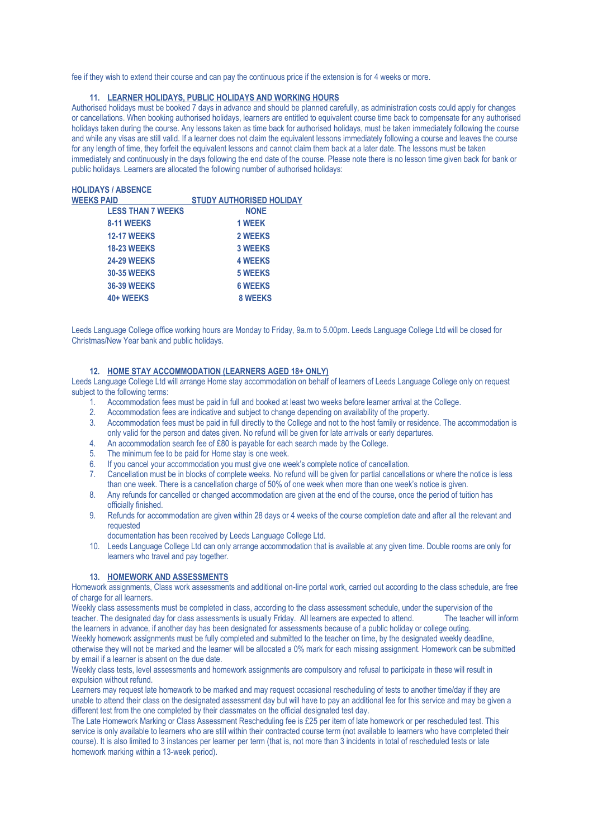fee if they wish to extend their course and can pay the continuous price if the extension is for 4 weeks or more.

#### **11. LEARNER HOLIDAYS, PUBLIC HOLIDAYS AND WORKING HOURS**

Authorised holidays must be booked 7 days in advance and should be planned carefully, as administration costs could apply for changes or cancellations. When booking authorised holidays, learners are entitled to equivalent course time back to compensate for any authorised holidays taken during the course. Any lessons taken as time back for authorised holidays, must be taken immediately following the course and while any visas are still valid. If a learner does not claim the equivalent lessons immediately following a course and leaves the course for any length of time, they forfeit the equivalent lessons and cannot claim them back at a later date. The lessons must be taken immediately and continuously in the days following the end date of the course. Please note there is no lesson time given back for bank or public holidays. Learners are allocated the following number of authorised holidays:

# **HOLIDAYS / ABSENCE**

| <b>WEEKS PAID</b>        | <b>STUDY AUTHORISED HOLIDAY</b> |
|--------------------------|---------------------------------|
| <b>LESS THAN 7 WEEKS</b> | <b>NONE</b>                     |
| 8-11 WEEKS               | 1 WEEK                          |
| <b>12-17 WEEKS</b>       | <b>2 WEEKS</b>                  |
| <b>18-23 WEEKS</b>       | <b>3 WEEKS</b>                  |
| <b>24-29 WEEKS</b>       | <b>4 WEEKS</b>                  |
| <b>30-35 WEEKS</b>       | <b>5 WEEKS</b>                  |
| <b>36-39 WEEKS</b>       | <b>6 WEEKS</b>                  |
| 40+ WEEKS                | <b>8 WEEKS</b>                  |
|                          |                                 |

Leeds Language College office working hours are Monday to Friday, 9a.m to 5.00pm. Leeds Language College Ltd will be closed for Christmas/New Year bank and public holidays.

#### **12. HOME STAY ACCOMMODATION (LEARNERS AGED 18+ ONLY)**

Leeds Language College Ltd will arrange Home stay accommodation on behalf of learners of Leeds Language College only on request subject to the following terms:

- 1. Accommodation fees must be paid in full and booked at least two weeks before learner arrival at the College.
- 2. Accommodation fees are indicative and subject to change depending on availability of the property.
- 3. Accommodation fees must be paid in full directly to the College and not to the host family or residence. The accommodation is only valid for the person and dates given. No refund will be given for late arrivals or early departures.
- 4. An accommodation search fee of  $\hat{E80}$  is payable for each search made by the College.<br>5. The minimum fee to be paid for Home stay is one week.
- The minimum fee to be paid for Home stay is one week.
- 6. If you cancel your accommodation you must give one week's complete notice of cancellation.
- 7. Cancellation must be in blocks of complete weeks. No refund will be given for partial cancellations or where the notice is less than one week. There is a cancellation charge of 50% of one week when more than one week's notice is given.
- 8. Any refunds for cancelled or changed accommodation are given at the end of the course, once the period of tuition has officially finished.
- 9. Refunds for accommodation are given within 28 days or 4 weeks of the course completion date and after all the relevant and requested

documentation has been received by Leeds Language College Ltd.

10. Leeds Language College Ltd can only arrange accommodation that is available at any given time. Double rooms are only for learners who travel and pay together.

#### **13. HOMEWORK AND ASSESSMENTS**

Homework assignments, Class work assessments and additional on-line portal work, carried out according to the class schedule, are free of charge for all learners.

Weekly class assessments must be completed in class, according to the class assessment schedule, under the supervision of the teacher. The designated day for class assessments is usually Friday. All learners are expected to attend. The teacher will inform the learners in advance, if another day has been designated for assessments because of a public holiday or college outing.

Weekly homework assignments must be fully completed and submitted to the teacher on time, by the designated weekly deadline, otherwise they will not be marked and the learner will be allocated a 0% mark for each missing assignment. Homework can be submitted by email if a learner is absent on the due date.

Weekly class tests, level assessments and homework assignments are compulsory and refusal to participate in these will result in expulsion without refund.

Learners may request late homework to be marked and may request occasional rescheduling of tests to another time/day if they are unable to attend their class on the designated assessment day but will have to pay an additional fee for this service and may be given a different test from the one completed by their classmates on the official designated test day.

The Late Homework Marking or Class Assessment Rescheduling fee is £25 per item of late homework or per rescheduled test. This service is only available to learners who are still within their contracted course term (not available to learners who have completed their course). It is also limited to 3 instances per learner per term (that is, not more than 3 incidents in total of rescheduled tests or late homework marking within a 13-week period).